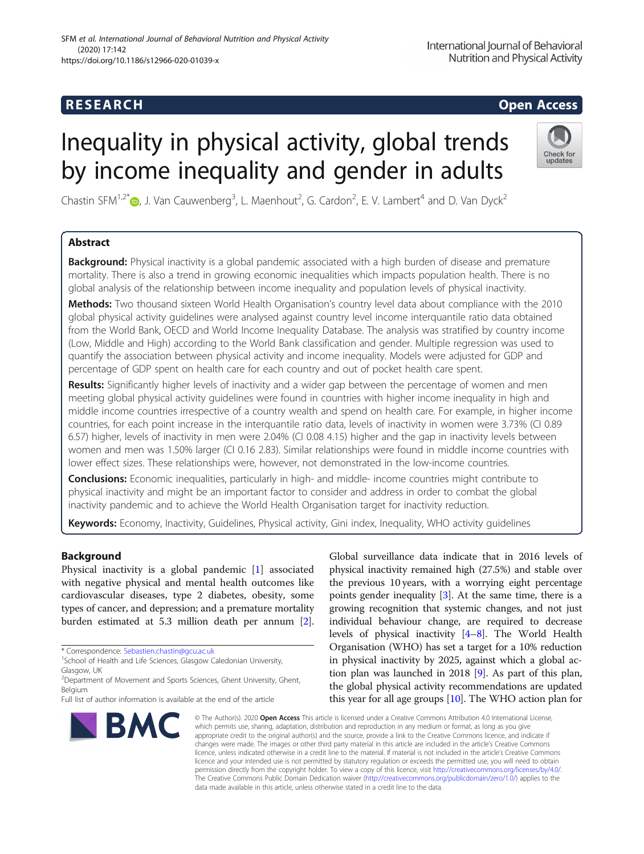## **RESEARCH CHEAR CHEAR CHEAR CHEAR CHEAR CHEAR CHEAR CHEAR CHEAR CHEAR CHEAR CHEAR CHEAR CHEAR CHEAR CHEAR CHEAR**

# Inequality in physical activity, global trends by income inequality and gender in adults



Chastin SFM<sup>1[,](http://orcid.org/0000-0003-1421-9348)2\*</sup> $\text{D}$ , J. Van Cauwenberg<sup>3</sup>, L. Maenhout<sup>2</sup>, G. Cardon<sup>2</sup>, E. V. Lambert<sup>4</sup> and D. Van Dyck<sup>2</sup>

### Abstract

Background: Physical inactivity is a global pandemic associated with a high burden of disease and premature mortality. There is also a trend in growing economic inequalities which impacts population health. There is no global analysis of the relationship between income inequality and population levels of physical inactivity.

Methods: Two thousand sixteen World Health Organisation's country level data about compliance with the 2010 global physical activity guidelines were analysed against country level income interquantile ratio data obtained from the World Bank, OECD and World Income Inequality Database. The analysis was stratified by country income (Low, Middle and High) according to the World Bank classification and gender. Multiple regression was used to quantify the association between physical activity and income inequality. Models were adjusted for GDP and percentage of GDP spent on health care for each country and out of pocket health care spent.

Results: Significantly higher levels of inactivity and a wider gap between the percentage of women and men meeting global physical activity guidelines were found in countries with higher income inequality in high and middle income countries irrespective of a country wealth and spend on health care. For example, in higher income countries, for each point increase in the interquantile ratio data, levels of inactivity in women were 3.73% (CI 0.89 6.57) higher, levels of inactivity in men were 2.04% (CI 0.08 4.15) higher and the gap in inactivity levels between women and men was 1.50% larger (CI 0.16 2.83). Similar relationships were found in middle income countries with lower effect sizes. These relationships were, however, not demonstrated in the low-income countries.

Conclusions: Economic inequalities, particularly in high- and middle- income countries might contribute to physical inactivity and might be an important factor to consider and address in order to combat the global inactivity pandemic and to achieve the World Health Organisation target for inactivity reduction.

Keywords: Economy, Inactivity, Guidelines, Physical activity, Gini index, Inequality, WHO activity quidelines

#### Background

Physical inactivity is a global pandemic [\[1\]](#page-6-0) associated with negative physical and mental health outcomes like cardiovascular diseases, type 2 diabetes, obesity, some types of cancer, and depression; and a premature mortality burden estimated at 5.3 million death per annum [[2](#page-6-0)].

Full list of author information is available at the end of the article



Global surveillance data indicate that in 2016 levels of physical inactivity remained high (27.5%) and stable over the previous 10 years, with a worrying eight percentage points gender inequality [[3](#page-6-0)]. At the same time, there is a growing recognition that systemic changes, and not just individual behaviour change, are required to decrease levels of physical inactivity [\[4](#page-6-0)–[8\]](#page-6-0). The World Health Organisation (WHO) has set a target for a 10% reduction in physical inactivity by 2025, against which a global action plan was launched in 2018 [[9](#page-6-0)]. As part of this plan, the global physical activity recommendations are updated this year for all age groups [\[10\]](#page-6-0). The WHO action plan for

© The Author(s). 2020 Open Access This article is licensed under a Creative Commons Attribution 4.0 International License, which permits use, sharing, adaptation, distribution and reproduction in any medium or format, as long as you give appropriate credit to the original author(s) and the source, provide a link to the Creative Commons licence, and indicate if changes were made. The images or other third party material in this article are included in the article's Creative Commons licence, unless indicated otherwise in a credit line to the material. If material is not included in the article's Creative Commons licence and your intended use is not permitted by statutory regulation or exceeds the permitted use, you will need to obtain permission directly from the copyright holder. To view a copy of this licence, visit [http://creativecommons.org/licenses/by/4.0/.](http://creativecommons.org/licenses/by/4.0/) The Creative Commons Public Domain Dedication waiver [\(http://creativecommons.org/publicdomain/zero/1.0/](http://creativecommons.org/publicdomain/zero/1.0/)) applies to the data made available in this article, unless otherwise stated in a credit line to the data.

<sup>\*</sup> Correspondence: [Sebastien.chastin@gcu.ac.uk](mailto:Sebastien.chastin@gcu.ac.uk) <sup>1</sup>

<sup>&</sup>lt;sup>1</sup>School of Health and Life Sciences, Glasgow Caledonian University, Glasgow, UK

<sup>&</sup>lt;sup>2</sup> Department of Movement and Sports Sciences, Ghent University, Ghent, Belgium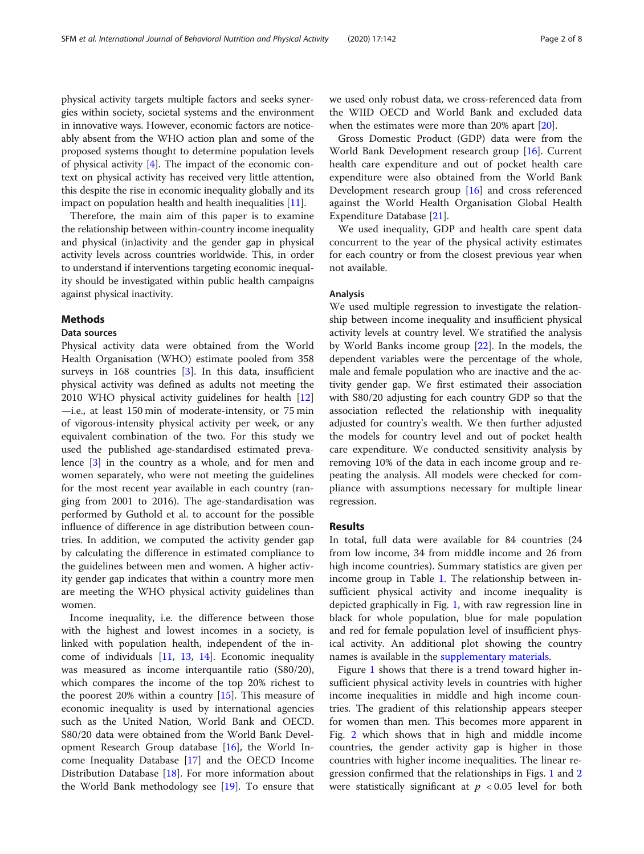physical activity targets multiple factors and seeks synergies within society, societal systems and the environment in innovative ways. However, economic factors are noticeably absent from the WHO action plan and some of the proposed systems thought to determine population levels of physical activity  $[4]$  $[4]$  $[4]$ . The impact of the economic context on physical activity has received very little attention, this despite the rise in economic inequality globally and its impact on population health and health inequalities [\[11](#page-6-0)].

Therefore, the main aim of this paper is to examine the relationship between within-country income inequality and physical (in)activity and the gender gap in physical activity levels across countries worldwide. This, in order to understand if interventions targeting economic inequality should be investigated within public health campaigns against physical inactivity.

#### Methods

#### Data sources

Physical activity data were obtained from the World Health Organisation (WHO) estimate pooled from 358 surveys in 168 countries [\[3](#page-6-0)]. In this data, insufficient physical activity was defined as adults not meeting the 2010 WHO physical activity guidelines for health [[12](#page-6-0)] —i.e., at least 150 min of moderate-intensity, or 75 min of vigorous-intensity physical activity per week, or any equivalent combination of the two. For this study we used the published age-standardised estimated prevalence [[3\]](#page-6-0) in the country as a whole, and for men and women separately, who were not meeting the guidelines for the most recent year available in each country (ranging from 2001 to 2016). The age-standardisation was performed by Guthold et al. to account for the possible influence of difference in age distribution between countries. In addition, we computed the activity gender gap by calculating the difference in estimated compliance to the guidelines between men and women. A higher activity gender gap indicates that within a country more men are meeting the WHO physical activity guidelines than women.

Income inequality, i.e. the difference between those with the highest and lowest incomes in a society, is linked with population health, independent of the income of individuals [[11,](#page-6-0) [13,](#page-6-0) [14](#page-6-0)]. Economic inequality was measured as income interquantile ratio (S80/20), which compares the income of the top 20% richest to the poorest 20% within a country  $[15]$  $[15]$ . This measure of economic inequality is used by international agencies such as the United Nation, World Bank and OECD. S80/20 data were obtained from the World Bank Development Research Group database [[16\]](#page-6-0), the World Income Inequality Database [\[17](#page-6-0)] and the OECD Income Distribution Database [[18\]](#page-6-0). For more information about the World Bank methodology see [[19](#page-6-0)]. To ensure that

we used only robust data, we cross-referenced data from the WIID OECD and World Bank and excluded data when the estimates were more than 20% apart [[20](#page-6-0)].

Gross Domestic Product (GDP) data were from the World Bank Development research group [\[16](#page-6-0)]. Current health care expenditure and out of pocket health care expenditure were also obtained from the World Bank Development research group [[16\]](#page-6-0) and cross referenced against the World Health Organisation Global Health Expenditure Database [\[21](#page-6-0)].

We used inequality, GDP and health care spent data concurrent to the year of the physical activity estimates for each country or from the closest previous year when not available.

#### Analysis

We used multiple regression to investigate the relationship between income inequality and insufficient physical activity levels at country level. We stratified the analysis by World Banks income group [[22\]](#page-6-0). In the models, the dependent variables were the percentage of the whole, male and female population who are inactive and the activity gender gap. We first estimated their association with S80/20 adjusting for each country GDP so that the association reflected the relationship with inequality adjusted for country's wealth. We then further adjusted the models for country level and out of pocket health care expenditure. We conducted sensitivity analysis by removing 10% of the data in each income group and repeating the analysis. All models were checked for compliance with assumptions necessary for multiple linear regression.

#### Results

In total, full data were available for 84 countries (24 from low income, 34 from middle income and 26 from high income countries). Summary statistics are given per income group in Table [1.](#page-2-0) The relationship between insufficient physical activity and income inequality is depicted graphically in Fig. [1](#page-2-0), with raw regression line in black for whole population, blue for male population and red for female population level of insufficient physical activity. An additional plot showing the country names is available in the [supplementary materials.](#page-5-0)

Figure [1](#page-2-0) shows that there is a trend toward higher insufficient physical activity levels in countries with higher income inequalities in middle and high income countries. The gradient of this relationship appears steeper for women than men. This becomes more apparent in Fig. [2](#page-3-0) which shows that in high and middle income countries, the gender activity gap is higher in those countries with higher income inequalities. The linear regression confirmed that the relationships in Figs. [1](#page-2-0) and [2](#page-3-0) were statistically significant at  $p < 0.05$  level for both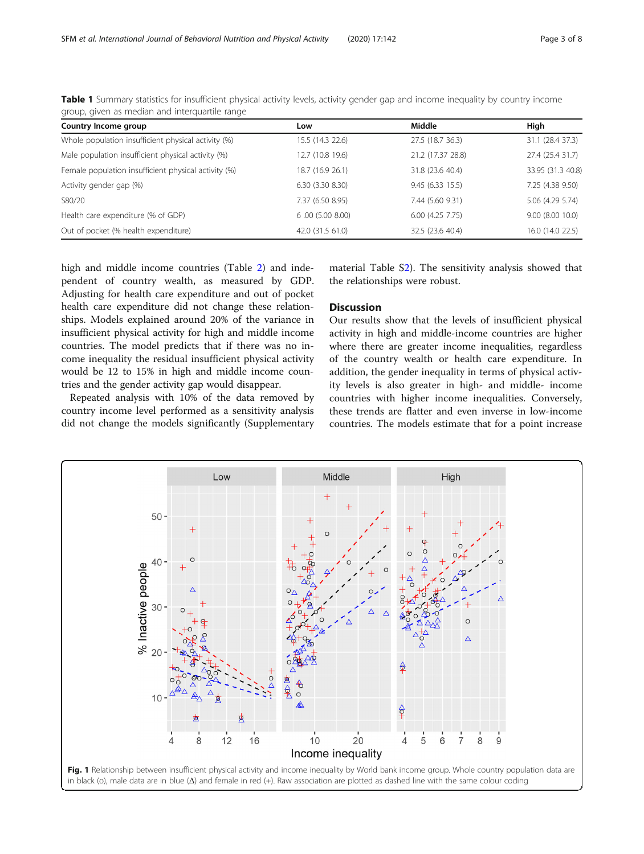| Country Income group                                 | Low              | Middle            | High              |
|------------------------------------------------------|------------------|-------------------|-------------------|
| Whole population insufficient physical activity (%)  | 15.5 (14.3 22.6) | 27.5 (18.7 36.3)  | 31.1 (28.4 37.3)  |
| Male population insufficient physical activity (%)   | 12.7 (10.8 19.6) | 21.2 (17.37 28.8) | 27.4 (25.4 31.7)  |
| Female population insufficient physical activity (%) | 18.7 (16.9 26.1) | 31.8 (23.6 40.4)  | 33.95 (31.3 40.8) |
| Activity gender gap (%)                              | 6.30(3.308.30)   | 9.45(6.3315.5)    | 7.25 (4.38 9.50)  |
| S80/20                                               | 7.37 (6.50 8.95) | 7.44 (5.60 9.31)  | 5.06 (4.29 5.74)  |
| Health care expenditure (% of GDP)                   | 6.00(5.008.00)   | 6.00(4.257.75)    | 9.00 (8.00 10.0)  |
| Out of pocket (% health expenditure)                 | 42.0 (31.5 61.0) | 32.5 (23.6 40.4)  | 16.0 (14.0 22.5)  |

<span id="page-2-0"></span>Table 1 Summary statistics for insufficient physical activity levels, activity gender gap and income inequality by country income group, given as median and interquartile range

high and middle income countries (Table [2\)](#page-3-0) and independent of country wealth, as measured by GDP. Adjusting for health care expenditure and out of pocket health care expenditure did not change these relationships. Models explained around 20% of the variance in insufficient physical activity for high and middle income countries. The model predicts that if there was no income inequality the residual insufficient physical activity would be 12 to 15% in high and middle income countries and the gender activity gap would disappear.

Repeated analysis with 10% of the data removed by country income level performed as a sensitivity analysis did not change the models significantly (Supplementary material Table S[2\)](#page-5-0). The sensitivity analysis showed that the relationships were robust.

#### **Discussion**

Our results show that the levels of insufficient physical activity in high and middle-income countries are higher where there are greater income inequalities, regardless of the country wealth or health care expenditure. In addition, the gender inequality in terms of physical activity levels is also greater in high- and middle- income countries with higher income inequalities. Conversely, these trends are flatter and even inverse in low-income countries. The models estimate that for a point increase

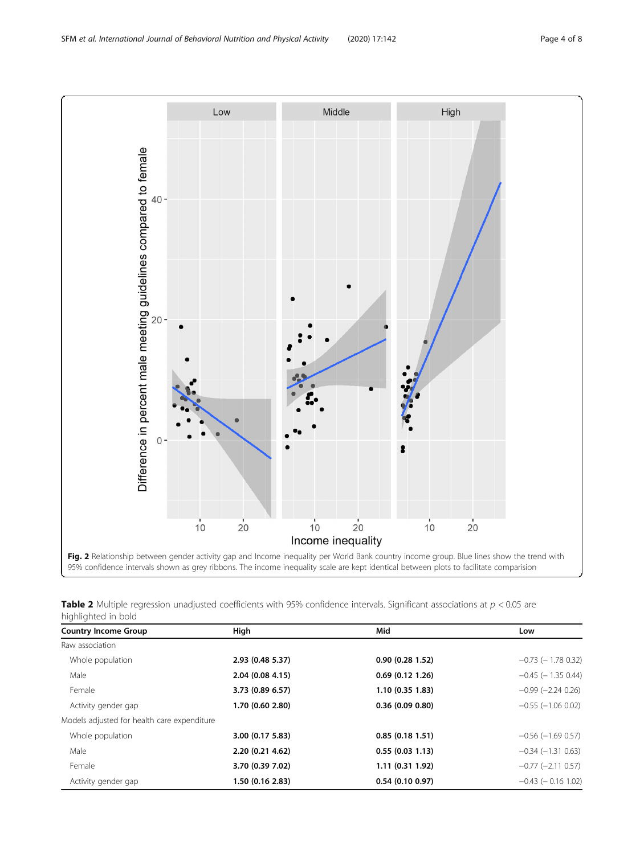<span id="page-3-0"></span>

Table 2 Multiple regression unadjusted coefficients with 95% confidence intervals. Significant associations at  $p < 0.05$  are highlighted in bold

| <b>Country Income Group</b>                 | High             | Mid              | Low                     |
|---------------------------------------------|------------------|------------------|-------------------------|
| Raw association                             |                  |                  |                         |
| Whole population                            | 2.93 (0.48 5.37) | 0.90(0.281.52)   | $-0.73$ ( $-1.78$ 0.32) |
| Male                                        | 2.04 (0.08 4.15) | 0.69(0.121.26)   | $-0.45$ ( $-1.35$ 0.44) |
| Female                                      | 3.73 (0.89 6.57) | 1.10(0.351.83)   | $-0.99$ $(-2.24 0.26)$  |
| Activity gender gap                         | 1.70 (0.60 2.80) | 0.36(0.090.80)   | $-0.55$ ( $-1.06$ 0.02) |
| Models adjusted for health care expenditure |                  |                  |                         |
| Whole population                            | 3.00 (0.17 5.83) | 0.85(0.181.51)   | $-0.56$ ( $-1.69$ 0.57) |
| Male                                        | 2.20 (0.21 4.62) | 0.55(0.031.13)   | $-0.34$ $(-1.31$ 0.63)  |
| Female                                      | 3.70 (0.39 7.02) | 1.11 (0.31 1.92) | $-0.77$ $(-2.11$ 0.57)  |
| Activity gender gap                         | 1.50 (0.16 2.83) | 0.54(0.100.97)   | $-0.43$ ( $-0.16$ 1.02) |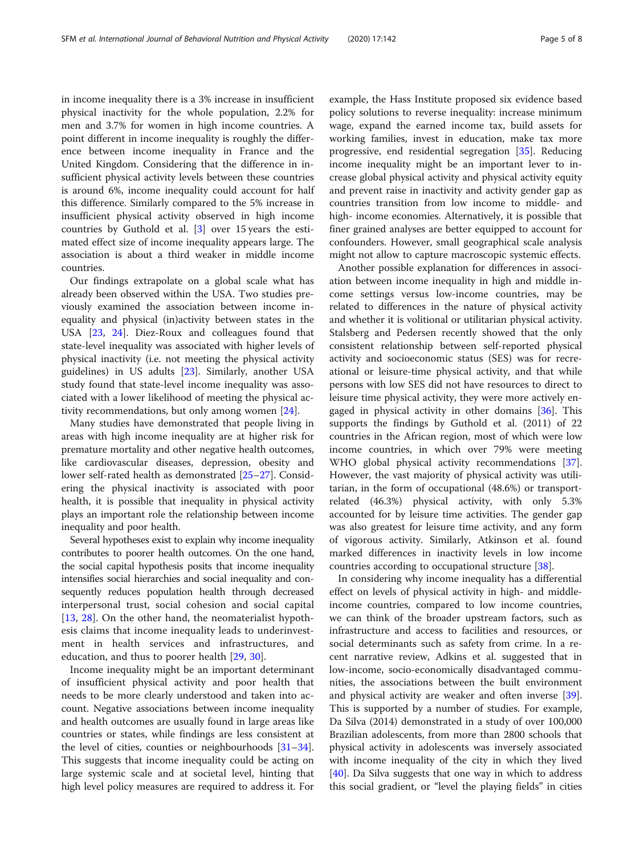in income inequality there is a 3% increase in insufficient physical inactivity for the whole population, 2.2% for men and 3.7% for women in high income countries. A point different in income inequality is roughly the difference between income inequality in France and the United Kingdom. Considering that the difference in insufficient physical activity levels between these countries is around 6%, income inequality could account for half this difference. Similarly compared to the 5% increase in insufficient physical activity observed in high income countries by Guthold et al. [\[3](#page-6-0)] over 15 years the estimated effect size of income inequality appears large. The association is about a third weaker in middle income countries.

Our findings extrapolate on a global scale what has already been observed within the USA. Two studies previously examined the association between income inequality and physical (in)activity between states in the USA [\[23](#page-6-0), [24](#page-6-0)]. Diez-Roux and colleagues found that state-level inequality was associated with higher levels of physical inactivity (i.e. not meeting the physical activity guidelines) in US adults [\[23](#page-6-0)]. Similarly, another USA study found that state-level income inequality was associated with a lower likelihood of meeting the physical activity recommendations, but only among women [\[24](#page-6-0)].

Many studies have demonstrated that people living in areas with high income inequality are at higher risk for premature mortality and other negative health outcomes, like cardiovascular diseases, depression, obesity and lower self-rated health as demonstrated [\[25](#page-6-0)–[27](#page-6-0)]. Considering the physical inactivity is associated with poor health, it is possible that inequality in physical activity plays an important role the relationship between income inequality and poor health.

Several hypotheses exist to explain why income inequality contributes to poorer health outcomes. On the one hand, the social capital hypothesis posits that income inequality intensifies social hierarchies and social inequality and consequently reduces population health through decreased interpersonal trust, social cohesion and social capital [[13,](#page-6-0) [28](#page-6-0)]. On the other hand, the neomaterialist hypothesis claims that income inequality leads to underinvestment in health services and infrastructures, and education, and thus to poorer health [[29,](#page-6-0) [30\]](#page-6-0).

Income inequality might be an important determinant of insufficient physical activity and poor health that needs to be more clearly understood and taken into account. Negative associations between income inequality and health outcomes are usually found in large areas like countries or states, while findings are less consistent at the level of cities, counties or neighbourhoods [[31](#page-6-0)–[34](#page-6-0)]. This suggests that income inequality could be acting on large systemic scale and at societal level, hinting that high level policy measures are required to address it. For

example, the Hass Institute proposed six evidence based policy solutions to reverse inequality: increase minimum wage, expand the earned income tax, build assets for working families, invest in education, make tax more progressive, end residential segregation [\[35\]](#page-6-0). Reducing income inequality might be an important lever to increase global physical activity and physical activity equity and prevent raise in inactivity and activity gender gap as countries transition from low income to middle- and high- income economies. Alternatively, it is possible that finer grained analyses are better equipped to account for confounders. However, small geographical scale analysis might not allow to capture macroscopic systemic effects.

Another possible explanation for differences in association between income inequality in high and middle income settings versus low-income countries, may be related to differences in the nature of physical activity and whether it is volitional or utilitarian physical activity. Stalsberg and Pedersen recently showed that the only consistent relationship between self-reported physical activity and socioeconomic status (SES) was for recreational or leisure-time physical activity, and that while persons with low SES did not have resources to direct to leisure time physical activity, they were more actively engaged in physical activity in other domains [\[36](#page-6-0)]. This supports the findings by Guthold et al. (2011) of 22 countries in the African region, most of which were low income countries, in which over 79% were meeting WHO global physical activity recommendations [\[37](#page-6-0)]. However, the vast majority of physical activity was utilitarian, in the form of occupational (48.6%) or transportrelated (46.3%) physical activity, with only 5.3% accounted for by leisure time activities. The gender gap was also greatest for leisure time activity, and any form of vigorous activity. Similarly, Atkinson et al. found marked differences in inactivity levels in low income countries according to occupational structure [[38](#page-6-0)].

In considering why income inequality has a differential effect on levels of physical activity in high- and middleincome countries, compared to low income countries, we can think of the broader upstream factors, such as infrastructure and access to facilities and resources, or social determinants such as safety from crime. In a recent narrative review, Adkins et al. suggested that in low-income, socio-economically disadvantaged communities, the associations between the built environment and physical activity are weaker and often inverse [\[39](#page-6-0)]. This is supported by a number of studies. For example, Da Silva (2014) demonstrated in a study of over 100,000 Brazilian adolescents, from more than 2800 schools that physical activity in adolescents was inversely associated with income inequality of the city in which they lived [[40\]](#page-6-0). Da Silva suggests that one way in which to address this social gradient, or "level the playing fields" in cities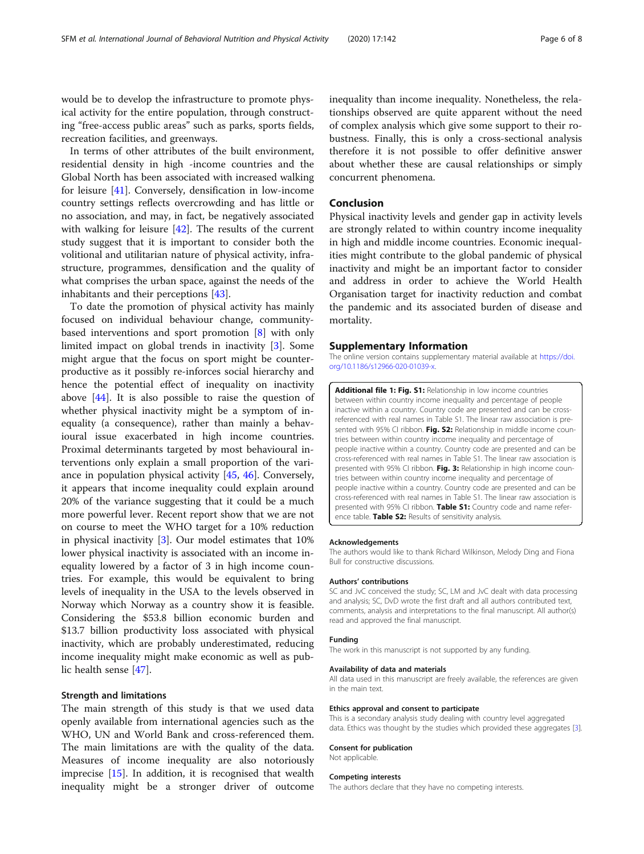<span id="page-5-0"></span>would be to develop the infrastructure to promote physical activity for the entire population, through constructing "free-access public areas" such as parks, sports fields, recreation facilities, and greenways.

In terms of other attributes of the built environment, residential density in high -income countries and the Global North has been associated with increased walking for leisure [[41](#page-6-0)]. Conversely, densification in low-income country settings reflects overcrowding and has little or no association, and may, in fact, be negatively associated with walking for leisure [[42](#page-6-0)]. The results of the current study suggest that it is important to consider both the volitional and utilitarian nature of physical activity, infrastructure, programmes, densification and the quality of what comprises the urban space, against the needs of the inhabitants and their perceptions [\[43](#page-6-0)].

To date the promotion of physical activity has mainly focused on individual behaviour change, communitybased interventions and sport promotion [\[8](#page-6-0)] with only limited impact on global trends in inactivity [\[3](#page-6-0)]. Some might argue that the focus on sport might be counterproductive as it possibly re-inforces social hierarchy and hence the potential effect of inequality on inactivity above [\[44\]](#page-6-0). It is also possible to raise the question of whether physical inactivity might be a symptom of inequality (a consequence), rather than mainly a behavioural issue exacerbated in high income countries. Proximal determinants targeted by most behavioural interventions only explain a small proportion of the variance in population physical activity [[45](#page-6-0), [46\]](#page-7-0). Conversely, it appears that income inequality could explain around 20% of the variance suggesting that it could be a much more powerful lever. Recent report show that we are not on course to meet the WHO target for a 10% reduction in physical inactivity  $[3]$  $[3]$ . Our model estimates that 10% lower physical inactivity is associated with an income inequality lowered by a factor of 3 in high income countries. For example, this would be equivalent to bring levels of inequality in the USA to the levels observed in Norway which Norway as a country show it is feasible. Considering the \$53.8 billion economic burden and \$13.7 billion productivity loss associated with physical inactivity, which are probably underestimated, reducing income inequality might make economic as well as public health sense [\[47\]](#page-7-0).

#### Strength and limitations

The main strength of this study is that we used data openly available from international agencies such as the WHO, UN and World Bank and cross-referenced them. The main limitations are with the quality of the data. Measures of income inequality are also notoriously imprecise [\[15](#page-6-0)]. In addition, it is recognised that wealth inequality might be a stronger driver of outcome inequality than income inequality. Nonetheless, the relationships observed are quite apparent without the need of complex analysis which give some support to their robustness. Finally, this is only a cross-sectional analysis therefore it is not possible to offer definitive answer about whether these are causal relationships or simply concurrent phenomena.

#### Conclusion

Physical inactivity levels and gender gap in activity levels are strongly related to within country income inequality in high and middle income countries. Economic inequalities might contribute to the global pandemic of physical inactivity and might be an important factor to consider and address in order to achieve the World Health Organisation target for inactivity reduction and combat the pandemic and its associated burden of disease and mortality.

#### Supplementary Information

The online version contains supplementary material available at [https://doi.](https://doi.org/10.1186/s12966-020-01039-x) [org/10.1186/s12966-020-01039-x](https://doi.org/10.1186/s12966-020-01039-x).

Additional file 1: Fig. S1: Relationship in low income countries between within country income inequality and percentage of people inactive within a country. Country code are presented and can be crossreferenced with real names in Table S1. The linear raw association is presented with 95% CI ribbon. Fig. S2: Relationship in middle income countries between within country income inequality and percentage of people inactive within a country. Country code are presented and can be cross-referenced with real names in Table S1. The linear raw association is presented with 95% CI ribbon. Fig. 3: Relationship in high income countries between within country income inequality and percentage of people inactive within a country. Country code are presented and can be cross-referenced with real names in Table S1. The linear raw association is presented with 95% CI ribbon. Table S1: Country code and name reference table. Table S2: Results of sensitivity analysis.

#### Acknowledgements

The authors would like to thank Richard Wilkinson, Melody Ding and Fiona Bull for constructive discussions.

#### Authors' contributions

SC and JvC conceived the study; SC, LM and JvC dealt with data processing and analysis; SC, DvD wrote the first draft and all authors contributed text, comments, analysis and interpretations to the final manuscript. All author(s) read and approved the final manuscript.

#### Funding

The work in this manuscript is not supported by any funding.

#### Availability of data and materials

All data used in this manuscript are freely available, the references are given in the main text.

#### Ethics approval and consent to participate

This is a secondary analysis study dealing with country level aggregated data. Ethics was thought by the studies which provided these aggregates [[3](#page-6-0)].

#### Consent for publication Not applicable.

#### Competing interests

The authors declare that they have no competing interests.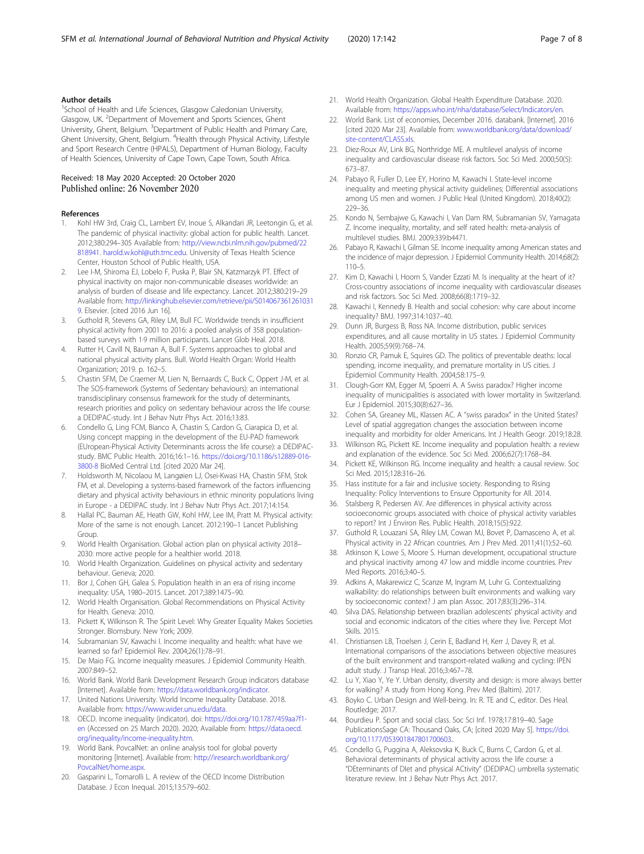#### <span id="page-6-0"></span>Author details

<sup>1</sup>School of Health and Life Sciences, Glasgow Caledonian University, Glasgow, UK. <sup>2</sup>Department of Movement and Sports Sciences, Ghent University, Ghent, Belgium. <sup>3</sup>Department of Public Health and Primary Care, Ghent University, Ghent, Belgium. <sup>4</sup>Health through Physical Activity, Lifestyle and Sport Research Centre (HPALS), Department of Human Biology, Faculty of Health Sciences, University of Cape Town, Cape Town, South Africa.

# Received: 18 May 2020 Accepted: 20 October 2020

#### References

- 1. Kohl HW 3rd, Craig CL, Lambert EV, Inoue S, Alkandari JR, Leetongin G, et al. The pandemic of physical inactivity: global action for public health. Lancet. 2012;380:294–305 Available from: [http://view.ncbi.nlm.nih.gov/pubmed/22](http://view.ncbi.nlm.nih.gov/pubmed/22818941) [818941](http://view.ncbi.nlm.nih.gov/pubmed/22818941). [harold.w.kohl@uth.tmc.edu](mailto:harold.w.kohl@uth.tmc.edu). University of Texas Health Science Center, Houston School of Public Health, USA.
- Lee I-M, Shiroma EJ, Lobelo F, Puska P, Blair SN, Katzmarzyk PT. Effect of physical inactivity on major non-communicable diseases worldwide: an analysis of burden of disease and life expectancy. Lancet. 2012;380:219–29 Available from: [http://linkinghub.elsevier.com/retrieve/pii/S014067361261031](http://linkinghub.elsevier.com/retrieve/pii/S0140673612610319) [9](http://linkinghub.elsevier.com/retrieve/pii/S0140673612610319). Elsevier. [cited 2016 Jun 16].
- 3. Guthold R, Stevens GA, Riley LM, Bull FC. Worldwide trends in insufficient physical activity from 2001 to 2016: a pooled analysis of 358 populationbased surveys with 1·9 million participants. Lancet Glob Heal. 2018.
- 4. Rutter H, Cavill N, Bauman A, Bull F. Systems approaches to global and national physical activity plans. Bull. World Health Organ: World Health Organization; 2019. p. 162–5.
- 5. Chastin SFM, De Craemer M, Lien N, Bernaards C, Buck C, Oppert J-M, et al. The SOS-framework (Systems of Sedentary behaviours): an international transdisciplinary consensus framework for the study of determinants, research priorities and policy on sedentary behaviour across the life course: a DEDIPAC-study. Int J Behav Nutr Phys Act. 2016;13:83.
- 6. Condello G, Ling FCM, Bianco A, Chastin S, Cardon G, Ciarapica D, et al. Using concept mapping in the development of the EU-PAD framework (EUropean-Physical Activity Determinants across the life course): a DEDIPACstudy. BMC Public Health. 2016;16:1–16. [https://doi.org/10.1186/s12889-016-](https://doi.org/10.1186/s12889-016-3800-8) [3800-8](https://doi.org/10.1186/s12889-016-3800-8) BioMed Central Ltd. [cited 2020 Mar 24].
- 7. Holdsworth M, Nicolaou M, Langøien LJ, Osei-Kwasi HA, Chastin SFM, Stok FM, et al. Developing a systems-based framework of the factors influencing dietary and physical activity behaviours in ethnic minority populations living in Europe - a DEDIPAC study. Int J Behav Nutr Phys Act. 2017;14:154.
- 8. Hallal PC, Bauman AE, Heath GW, Kohl HW, Lee IM, Pratt M. Physical activity: More of the same is not enough. Lancet. 2012:190–1 Lancet Publishing Group.
- 9. World Health Organisation. Global action plan on physical activity 2018– 2030: more active people for a healthier world. 2018.
- 10. World Health Organization. Guidelines on physical activity and sedentary behaviour. Geneva; 2020.
- 11. Bor J, Cohen GH, Galea S. Population health in an era of rising income inequality: USA, 1980–2015. Lancet. 2017;389:1475–90.
- 12. World Health Organisation. Global Recommendations on Physical Activity for Health. Geneva: 2010.
- 13. Pickett K, Wilkinson R. The Spirit Level: Why Greater Equality Makes Societies Stronger. Blomsbury. New York; 2009.
- 14. Subramanian SV, Kawachi I. Income inequality and health: what have we learned so far? Epidemiol Rev. 2004;26(1):78–91.
- 15. De Maio FG. Income inequality measures. J Epidemiol Community Health. 2007:849–52.
- 16. World Bank. World Bank Development Research Group indicators database [Internet]. Available from: [https://data.worldbank.org/indicator.](https://data.worldbank.org/indicator)
- 17. United Nations University. World Income Inequality Database. 2018. Available from: [https://www.wider.unu.edu/data.](https://www.wider.unu.edu/data)
- 18. OECD. Income inequality (indicator). doi: [https://doi.org/10.1787/459aa7f1](https://doi.org/10.1787/459aa7f1-en) [en](https://doi.org/10.1787/459aa7f1-en) (Accessed on 25 March 2020). 2020; Available from: [https://data.oecd.](https://data.oecd.org/inequality/income-inequality.htm) [org/inequality/income-inequality.htm](https://data.oecd.org/inequality/income-inequality.htm).
- 19. World Bank. PovcalNet: an online analysis tool for global poverty monitoring [Internet]. Available from: [http://iresearch.worldbank.org/](http://iresearch.worldbank.org/PovcalNet/home.aspx) [PovcalNet/home.aspx](http://iresearch.worldbank.org/PovcalNet/home.aspx).
- 20. Gasparini L, Tornarolli L. A review of the OECD Income Distribution Database. J Econ Inequal. 2015;13:579–602.
- 21. World Health Organization. Global Health Expenditure Database. 2020. Available from: [https://apps.who.int/nha/database/Select/Indicators/en.](https://apps.who.int/nha/database/Select/Indicators/en)
- 22. World Bank. List of economies, December 2016. databank. [Internet]. 2016 [cited 2020 Mar 23]. Available from: [www.worldbank.org/data/download/](http://www.worldbank.org/data/download/site-content/CLASS.xls) [site-content/CLASS.xls](http://www.worldbank.org/data/download/site-content/CLASS.xls).
- 23. Diez-Roux AV, Link BG, Northridge ME. A multilevel analysis of income inequality and cardiovascular disease risk factors. Soc Sci Med. 2000;50(5): 673–87.
- 24. Pabayo R, Fuller D, Lee EY, Horino M, Kawachi I. State-level income inequality and meeting physical activity quidelines: Differential associations among US men and women. J Public Heal (United Kingdom). 2018;40(2): 229–36.
- 25. Kondo N, Sembajwe G, Kawachi I, Van Dam RM, Subramanian SV, Yamagata Z. Income inequality, mortality, and self rated health: meta-analysis of multilevel studies. BMJ. 2009;339:b4471.
- 26. Pabayo R, Kawachi I, Gilman SE. Income inequality among American states and the incidence of major depression. J Epidemiol Community Health. 2014;68(2): 110–5.
- 27. Kim D, Kawachi I, Hoorn S, Vander Ezzati M. Is inequality at the heart of it? Cross-country associations of income inequality with cardiovascular diseases and risk factzors. Soc Sci Med. 2008;66(8):1719–32.
- 28. Kawachi I, Kennedy B. Health and social cohesion: why care about income inequality? BMJ. 1997;314:1037–40.
- 29. Dunn JR, Burgess B, Ross NA. Income distribution, public services expenditures, and all cause mortality in US states. J Epidemiol Community Health. 2005;59(9):768–74.
- 30. Ronzio CR, Pamuk E, Squires GD. The politics of preventable deaths: local spending, income inequality, and premature mortality in US cities. J Epidemiol Community Health. 2004;58:175–9.
- 31. Clough-Gorr KM, Egger M, Spoerri A. A Swiss paradox? Higher income inequality of municipalities is associated with lower mortality in Switzerland. Eur J Epidemiol. 2015;30(8):627–36.
- 32. Cohen SA, Greaney ML, Klassen AC. A "swiss paradox" in the United States? Level of spatial aggregation changes the association between income inequality and morbidity for older Americans. Int J Health Geogr. 2019;18:28.
- 33. Wilkinson RG, Pickett KE. Income inequality and population health: a review and explanation of the evidence. Soc Sci Med. 2006;62(7):1768–84.
- 34. Pickett KE, Wilkinson RG. Income inequality and health: a causal review. Soc Sci Med. 2015;128:316–26.
- 35. Hass institute for a fair and inclusive society. Responding to Rising Inequality: Policy Interventions to Ensure Opportunity for All. 2014.
- 36. Stalsberg R, Pedersen AV. Are differences in physical activity across socioeconomic groups associated with choice of physical activity variables to report? Int J Environ Res. Public Health. 2018;15(5):922.
- 37. Guthold R, Louazani SA, Riley LM, Cowan MJ, Bovet P, Damasceno A, et al. Physical activity in 22 African countries. Am J Prev Med. 2011;41(1):52–60.
- 38. Atkinson K, Lowe S, Moore S. Human development, occupational structure and physical inactivity among 47 low and middle income countries. Prev Med Reports. 2016;3:40–5.
- 39. Adkins A, Makarewicz C, Scanze M, Ingram M, Luhr G. Contextualizing walkability: do relationships between built environments and walking vary by socioeconomic context? J am plan Assoc. 2017;83(3):296–314.
- 40. Silva DAS. Relationship between brazilian adolescents' physical activity and social and economic indicators of the cities where they live. Percept Mot Skills. 2015.
- 41. Christiansen LB, Troelsen J, Cerin E, Badland H, Kerr J, Davey R, et al. International comparisons of the associations between objective measures of the built environment and transport-related walking and cycling: IPEN adult study. J Transp Heal. 2016;3:467–78.
- 42. Lu Y, Xiao Y, Ye Y. Urban density, diversity and design: is more always better for walking? A study from Hong Kong. Prev Med (Baltim). 2017.
- 43. Boyko C. Urban Design and Well-being. In: R. TE and C, editor. Des Heal. Routledge; 2017.
- 44. Bourdieu P. Sport and social class. Soc Sci Inf. 1978;17:819–40. Sage PublicationsSage CA: Thousand Oaks, CA; [cited 2020 May 5]. [https://doi.](https://doi.org/10.1177/053901847801700603) [org/10.1177/053901847801700603](https://doi.org/10.1177/053901847801700603)..
- 45. Condello G, Puggina A, Aleksovska K, Buck C, Burns C, Cardon G, et al. Behavioral determinants of physical activity across the life course: a "DEterminants of DIet and physical ACtivity" (DEDIPAC) umbrella systematic literature review. Int J Behav Nutr Phys Act. 2017.